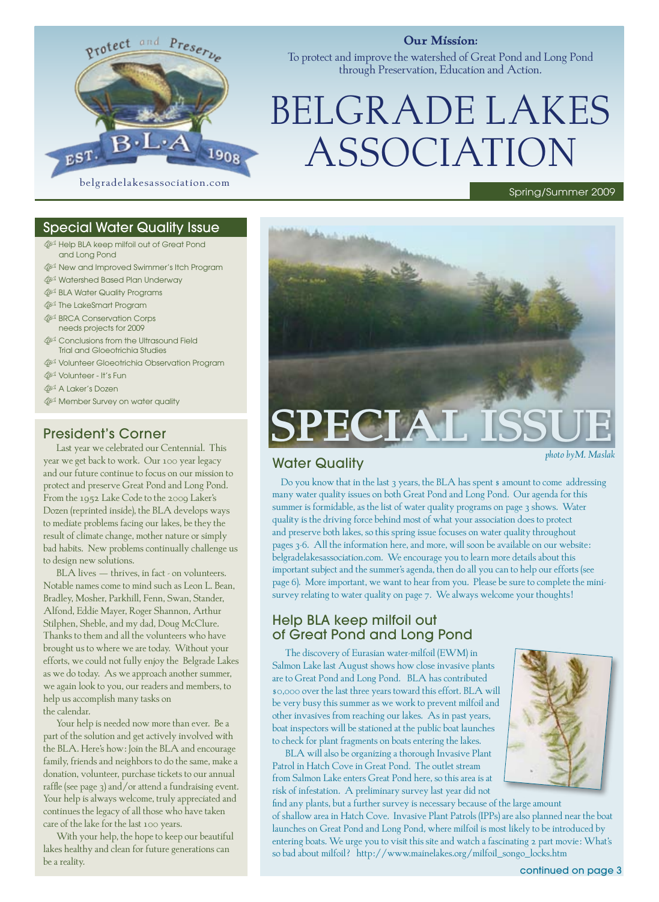

#### **Our Mission:**

To protect and improve the watershed of Great Pond and Long Pond through Preservation, Education and Action.

# BELGRADE LAKES ASSOCIATION

## Special Water Quality Issue

- $\hat{\mathbb{Q}}^{\!\mathbb{Z}}$  Help BLA keep milfoil out of Great Pond and Long Pond
- $\mathbb{Q}^{\mathbb{Z}}$  New and Improved Swimmer's Itch Program
- $\frac{A}{2}$  Watershed Based Plan Underway
- **BLA Water Quality Programs**
- **Formart Program**
- **SBRCA Conservation Corps** needs projects for 2009
- **s**<sup>3</sup> Conclusions from the Ultrasound Field Trial and Gloeotrichia Studies
- $\mathbb{P}^3$  Volunteer Gloeotrichia Observation Program
- $\mathbb{P}^1$  Volunteer It's Fun
- **参** A Laker's Dozen
- **s** Member Survey on water quality

## President's Corner

Last year we celebrated our Centennial. This year we get back to work. Our 100 year legacy and our future continue to focus on our mission to protect and preserve Great Pond and Long Pond. From the 1952 Lake Code to the 2009 Laker's Dozen (reprinted inside), the BLA develops ways to mediate problems facing our lakes, be they the result of climate change, mother nature or simply bad habits. New problems continually challenge us to design new solutions.

BLA lives - thrives, in fact - on volunteers. Notable names come to mind such as Leon L. Bean, Bradley, Mosher, Parkhill, Fenn, Swan, Stander, Alfond, Eddie Mayer, Roger Shannon, Arthur Stilphen, Sheble, and my dad, Doug McClure. Thanks to them and all the volunteers who have brought us to where we are today. Without your efforts, we could not fully enjoy the Belgrade Lakes as we do today. As we approach another summer, we again look to you, our readers and members, to help us accomplish many tasks on the calendar.

Your help is needed now more than ever. Be a part of the solution and get actively involved with the BLA. Here's how: Join the BLA and encourage family, friends and neighbors to do the same, make a donation, volunteer, purchase tickets to our annual raffle (see page 3) and/or attend a fundraising event. Your help is always welcome, truly appreciated and continues the legacy of all those who have taken care of the lake for the last 100 years.

With your help, the hope to keep our beautiful lakes healthy and clean for future generations can be a reality.<br> **be a reality.**<br> **be a reality.**<br> **be a reality.**<br> **be a reality.**<br> **continued on page 3** 



# Water Quality

*photo byM. Maslak*

Spring/Summer 2009

Do you know that in the last 3 years, the BLA has spent \$ amount to come addressing many water quality issues on both Great Pond and Long Pond. Our agenda for this summer is formidable, as the list of water quality programs on page 3 shows. Water quality is the driving force behind most of what your association does to protect and preserve both lakes, so this spring issue focuses on water quality throughout pages 3-6. All the information here, and more, will soon be available on our website: belgradelakesassociation.com. We encourage you to learn more details about this important subject and the summer's agenda, then do all you can to help our efforts (see page 6). More important, we want to hear from you. Please be sure to complete the minisurvey relating to water quality on page 7. We always welcome your thoughts!

entering boats. We urge you to visit this site and watch a fascinating 2 part movie: What's

so bad about milfoil? http://www.mainelakes.org/milfoil\_songo\_locks.htm

# Help BLA keep milfoil out of Great Pond and Long Pond

The discovery of Eurasian water-milfoil (EWM) in Salmon Lake last August shows how close invasive plants are to Great Pond and Long Pond. BLA has contributed \$0,000 over the last three years toward this effort. BLA will be very busy this summer as we work to prevent milfoil and other invasives from reaching our lakes. As in past years, boat inspectors will be stationed at the public boat launches to check for plant fragments on boats entering the lakes.

BLA will also be organizing a thorough Invasive Plant Patrol in Hatch Cove in Great Pond. The outlet stream from Salmon Lake enters Great Pond here, so this area is at risk of infestation. A preliminary survey last year did not

find any plants, but a further survey is necessary because of the large amount of shallow area in Hatch Cove. Invasive Plant Patrols (IPPs) are also planned near the boat launches on Great Pond and Long Pond, where milfoil is most likely to be introduced by

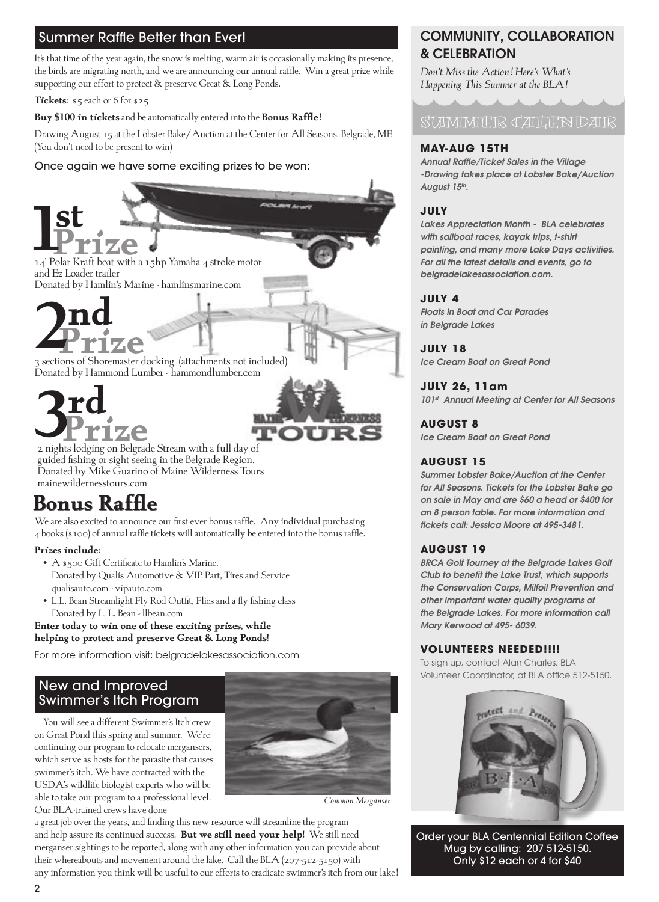## **Buy \$100 in tickets and be automatically entered**  Summer Raffle Better than Ever!

the birds are migrating north, and we are announcing our annual raffle. Win a great prize while supporting our effort to protect & preserve Great & Long Ponds. It's that time of the year again, the snow is melting, warm air is occasionally making its presence,

**Tickets:** \$5 each or 6 for \$25

**Buy \$100 in tickets** and be automatically entered into the **Bonus Raffle**!

Drawing August 15 at the Lobster Bake/Auction at the Center for All Seasons, Belgrade, ME (You don't need to be present to win)

# *Insert Photo of Polarkraft Boat*  Once again we have some exciting prizes to be won:

: Three Sections of a Shoremaster Dock **Second Prize**  $V$ **14'** Polar Kraft boat with a 15hp Yamaha 4 stroke motor and Ez Loader trailer Donated by Hamlin's Marine - hamlinsmarine.com **st**



Donated by Hammond Lumber - hammondlumber.com

# **STREAM TOURS 3Prize**<br>2 nights lodging on Belgrade Stream with a full day of **rd**

**Bonus Raffle---** guided fishing or sight seeing in the Belgrade Region. Donated by Mike Guarino of Maine Wilderness Tours mainewildernesstours.com

# **Bonus Raffle Bonus Raffle**

— CII CO — LICOLIN C<br>We are also excited to announce our first ever bonus raffle. Any individual purchasing  $_4$  books (\$100) of annual raffle tickets will automatically be entered into the bonus raffle.

#### **Prizes include:**

- A \$500 Gift Certificate to Hamlin's Marine. Donated by Qualis Automotive & VIP Part, Tires and Service **Execution Club in the lange of the lange of the langes**  qualisauto.com - vipauto.com phosphorous political invasive species, and prevent duck invasive species, and prevent duck it changes it changes it changes in the contract of the contract it changes in the contract of the contract it changes in the cont
- $\bullet\,$  L.L. Bean Streamlight Fly Rod Outfit, Flies and a fly fishing class Donated by L. L. Bean - llbean.com

Enter today to win one of these exciting prizes, while helping to protect and preserve Great & Long Ponds!

For more information visit: belgradelakesassociation.com

# New and Improved Swimmer's Itch Program

You will see a different Swimmer's Itch crew on Great Pond this spring and summer. We're continuing our program to relocate mergansers, which serve as hosts for the parasite that causes swimmer's itch. We have contracted with the USDA's wildlife biologist experts who will be able to take our program to a professional level. Our BLA-trained crews have done



*Common Merganser*

a great job over the years, and finding this new resource will streamline the program and help assure its continued success. **But we still need your help!** We still need merganser sightings to be reported, along with any other information you can provide about their whereabouts and movement around the lake. Call the BLA (207-512-5150) with any information you think will be useful to our efforts to eradicate swimmer's itch from our lake!

# COMMUNITY, COLLABORATION & CELEBRATION

*Don't Miss the Action! Here's What's Happening This Summer at the BLA!*

SUMMER CALENDAR

#### **May-Aug 15th**

*Annual Raffle/Ticket Sales in the Village -Drawing takes place at Lobster Bake/Auction*  August 15<sup>th</sup>.

#### **July**

*Lakes Appreciation Month - BLA celebrates with sailboat races, kayak trips, t-shirt painting, and many more Lake Days activities. For all the latest details and events, go to belgradelakesassociation.com.*

#### **July 4**

*Floats in Boat and Car Parades in Belgrade Lakes*

**July 18** *Ice Cream Boat on Great Pond*

### **July 26, 11am**

*101st Annual Meeting at Center for All Seasons*

**August 8** *Ice Cream Boat on Great Pond*

## **August 15**

ours **Automatically be entered into the summer Lobster Bake/Auction at the Center** for All Seasons. Tickets for the Lobster Bake go *on sale in May and are \$60 a head or \$400 for an 8 person table. For more information and tickets call: Jessica Moore at 495-3481.*

#### **August 19**

**BRCA Golf Tourney at the Belgrade Lakes Golf** and Service **and increases water and improve water continuous** Club to benefit the Lake Trust, which supports *the Conservation Corps, Milfoil Prevention and other important water quality programs of the Belgrade Lakes. For more information call Mary Kerwood at 495- 6039.*

## **Volunteers Needed!!!!**

To sign up, contact Alan Charles, BLA Volunteer Coordinator, at BLA office 512-5150.



Order your BLA Centennial Edition Coffee Mug by calling: 207 512-5150. Only \$12 each or 4 for \$40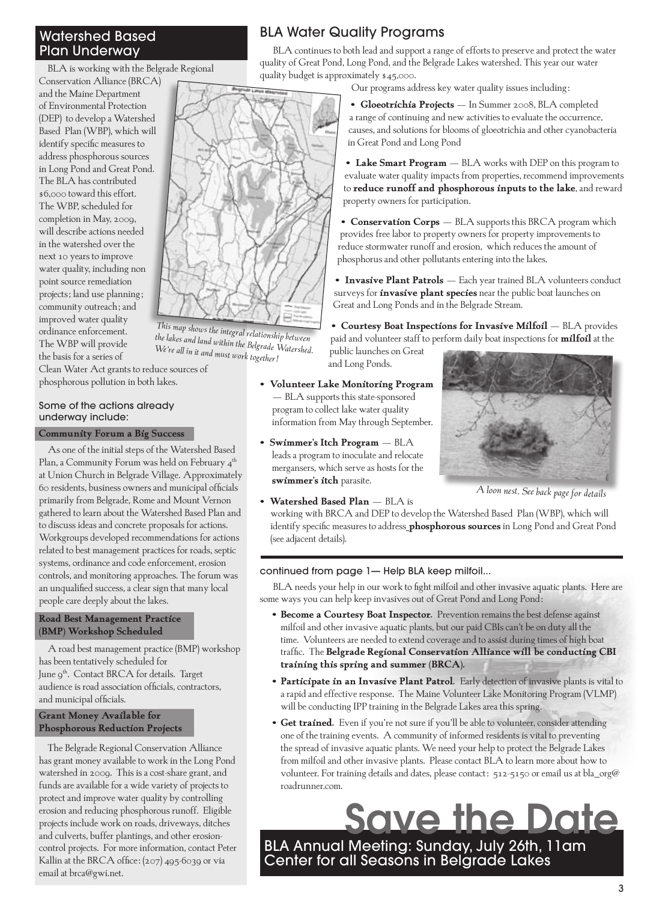## Watershed Based Plan Underway

BLA is working with the Belgrade Regional

Conservation Alliance (BRCA) and the Maine Department of Environmental Protection (DEP) to develop a Watershed Based Plan (WBP), which will identify specific measures to address phosphorous sources in Long Pond and Great Pond. The BLA has contributed \$6,000 toward this effort. The WBP, scheduled for completion in May, 2009, will describe actions needed in the watershed over the next 10 years to improve water quality, including non point source remediation projects; land use planning; community outreach; and improved water quality ordinance enforcement. The WBP will provide the basis for a series of

Clean Water Act grants to reduce sources of phosphorous pollution in both lakes. *We're all in it and must work together!*

*This map shows the integral relationship between the lakes and land within the Belgrade Watershed.* 

#### Some of the actions already underway include:

#### **Community Forum a Big Success**

As one of the initial steps of the Watershed Based Plan, a Community Forum was held on February  $4^{\text{th}}$ at Union Church in Belgrade Village. Approximately 60 residents, business owners and municipal officials primarily from Belgrade, Rome and Mount Vernon gathered to learn about the Watershed Based Plan and to discuss ideas and concrete proposals for actions. Workgroups developed recommendations for actions related to best management practices for roads, septic systems, ordinance and code enforcement, erosion controls, and monitoring approaches. The forum was an unqualified success, a clear sign that many local people care deeply about the lakes.

#### **Road Best Management Practice (BMP) Workshop Scheduled**

A road best management practice (BMP) workshop has been tentatively scheduled for June 9<sup>th</sup>. Contact BRCA for details. Target audience is road association officials, contractors, and municipal officials.

#### **Grant Money Available for Phosphorous Reduction Projects**

The Belgrade Regional Conservation Alliance has grant money available to work in the Long Pond watershed in 2009. This is a cost-share grant, and funds are available for a wide variety of projects to protect and improve water quality by controlling erosion and reducing phosphorous runoff. Eligible projects include work on roads, driveways, ditches and culverts, buffer plantings, and other erosioncontrol projects. For more information, contact Peter Kallin at the BRCA office: (207) 495-6039 or via email at brca@gwi.net.

# BLA Water Quality Programs

BLA continues to both lead and support a range of efforts to preserve and protect the water quality of Great Pond, Long Pond, and the Belgrade Lakes watershed. This year our water quality budget is approximately \$45,000.

Our programs address key water quality issues including:

**• Gloeotrichia Projects** – In Summer 2008, BLA completed a range of continuing and new activities to evaluate the occurrence, causes, and solutions for blooms of gloeotrichia and other cyanobacteria in Great Pond and Long Pond

**• Lake Smart Program** – BLA works with DEP on this program to evaluate water quality impacts from properties, recommend improvements to **reduce runoff and phosphorous inputs to the lake**, and reward property owners for participation.

**• Conservation Corps** – BLA supports this BRCA program which provides free labor to property owners for property improvements to reduce stormwater runoff and erosion, which reduces the amount of phosphorus and other pollutants entering into the lakes.

**• Invasive Plant Patrols** – Each year trained BLA volunteers conduct surveys for **invasive plant species** near the public boat launches on Great and Long Ponds and in the Belgrade Stream.

**• Courtesy Boat Inspections for Invasive Milfoil** – BLA provides paid and volunteer staff to perform daily boat inspections for **milfoil** at the

public launches on Great and Long Ponds.

- **Volunteer Lake Monitoring Program**  – BLA supports this state-sponsored program to collect lake water quality information from May through September.
- **Swimmer's Itch Program**  BLA leads a program to inoculate and relocate mergansers, which serve as hosts for the **swimmer's itch** parasite.
- **Watershed Based Plan**  BLA is



*A loon nest. See back page for details* is

working with BRCA and DEP to develop the Watershed Based Plan (WBP), which will identify specific measures to address\_**phosphorous sources** in Long Pond and Great Pond<br>for adjacent details) (see adjacent details). is<br>levelop the Watershed Based Plan (WBP), which will

continued from page 1— Help BLA keep milfoil...

BLA needs your help in our work to fight milfoil and other invasive aquatic plants. Here are some ways you can help keep invasives out of Great Pond and Long Pond:

- **• Become a Courtesy Boat Inspector.** Prevention remains the best defense against milfoil and other invasive aquatic plants, but our paid CBIs can't be on duty all the time. Volunteers are needed to extend coverage and to assist during times of high boat traffic. The **Belgrade Regional Conservation Alliance will be conducting CBI training this spring and summer (BRCA).**
- **• Participate in an Invasive Plant Patrol.** Early detection of invasive plants is vital to a rapid and effective response. The Maine Volunteer Lake Monitoring Program (VLMP) will be conducting IPP training in the Belgrade Lakes area this spring.
- **• Get trained.** Even if you're not sure if you'll be able to volunteer, consider attending one of the training events. A community of informed residents is vital to preventing the spread of invasive aquatic plants. We need your help to protect the Belgrade Lakes from milfoil and other invasive plants. Please contact BLA to learn more about how to volunteer. For training details and dates, please contact: 512-5150 or email us at bla\_org@ roadrunner.com.

# Save the Date

BLA Annual Meeting: Sunday, July 26th, 11am Center for all Seasons in Belgrade Lakes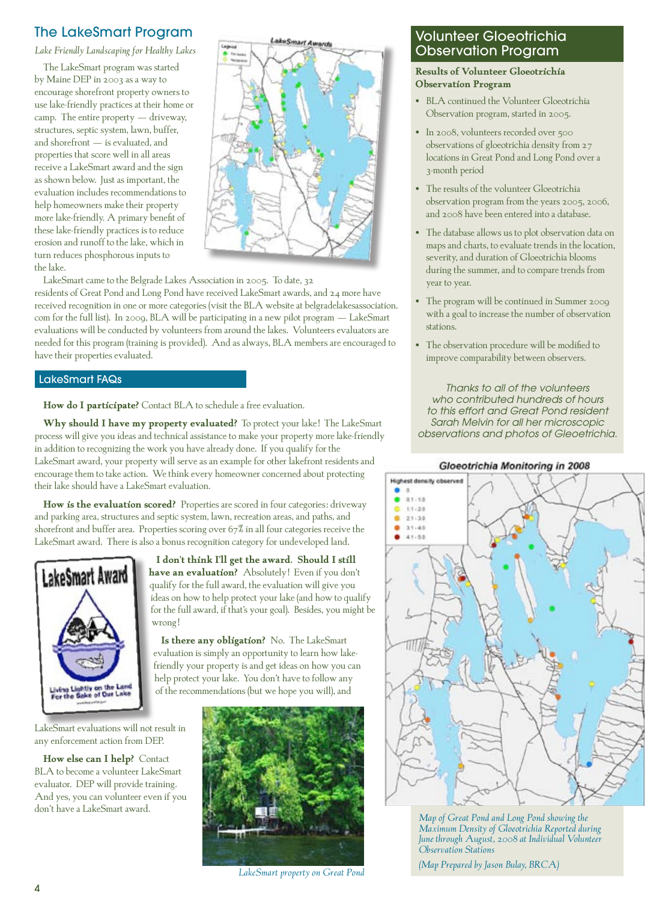# The LakeSmart Program

*Lake Friendly Landscaping for Healthy Lakes*

The LakeSmart program was started by Maine DEP in 2003 as a way to encourage shorefront property owners to use lake-friendly practices at their home or camp. The entire property  $-$  driveway, structures, septic system, lawn, buffer, and shorefront – is evaluated, and properties that score well in all areas receive a LakeSmart award and the sign as shown below. Just as important, the evaluation includes recommendations to help homeowners make their property more lake-friendly. A primary benefit of these lake-friendly practices is to reduce erosion and runoff to the lake, which in turn reduces phosphorous inputs to the lake.



LakeSmart came to the Belgrade Lakes Association in 2005. To date, 32 residents of Great Pond and Long Pond have received LakeSmart awards, and 24 more have received recognition in one or more categories (visit the BLA website at belgradelakesassociation. com for the full list). In 2009, BLA will be participating in a new pilot program – LakeSmart evaluations will be conducted by volunteers from around the lakes. Volunteers evaluators are needed for this program (training is provided). And as always, BLA members are encouraged to have their properties evaluated.

#### LakeSmart FAQs

**How do I participate?** Contact BLA to schedule a free evaluation.

**Why should I have my property evaluated?** To protect your lake! The LakeSmart process will give you ideas and technical assistance to make your property more lake-friendly in addition to recognizing the work you have already done. If you qualify for the LakeSmart award, your property will serve as an example for other lakefront residents and encourage them to take action. We think every homeowner concerned about protecting their lake should have a LakeSmart evaluation.

How is the evaluation scored? Properties are scored in four categories: driveway and parking area, structures and septic system, lawn, recreation areas, and paths, and shorefront and buffer area. Properties scoring over 67% in all four categories receive the LakeSmart award. There is also a bonus recognition category for undeveloped land. **If you have** property will see as an example for other lakefront residents and encourage them to take  $\mathbb{Z}$ 



LakeSmart evaluations will not result in  $\mathbb{R}^N$ property and the valuations will not result in<br>any enforcement action from DEP. any enforcement action from DEP.

**How else can I help?** Contact BLA to become a volunteer LakeSmart evaluator. DEP will provide training. And yes, you can volunteer even if you  $\frac{1}{2}$  don't have a LakeSmart award. **the evaluation includes recommendation in contract the second includes recommendations**  $\frac{1}{n}$  **and**  $\frac{1}{n}$  **more lake**don't have a LakeSmart award.

**a** I don't think I'll get the award. Should I still **their lake should the** have an evaluation? Absolutely! Even if you don't qualify for the full award, the evaluation will give you ideas on how to help protect your lake (and how to qualify  $\blacksquare$ for the full award, if that's your goal). Besides, you might be wrong! quality for the full award, the evaluation will give you I don't the state in this is the award. Show we have a short that is a strike the state of your state in the state of your state in the state of your state in the state of your state in the state of your state in the state  $\alpha$  don't give  $\alpha$  the evaluation will give  $\alpha$  on  $\alpha$  on  $\alpha$  on  $\alpha$  on  $\alpha$ 

**Is there any obligation?** No. The LakeSmart lacked evaluation is simply an opportunity to learn how lake. friendly your property is and get ideas on how you can help protect your lake. You don't have to follow any of the recommendations (but we hope you will), and  $\blacktriangleright$ **Is there any obligation:** TNO. The LakeSmart **Evaluation How example can I have contact BLA** to be contact BLA to be a volume a value of the small evaluation.



LakeSmart property on Great Pond *LakeSmart property on Great Pond* 

# Volunteer Gloeotrichia Observation Program

**Results of Volunteer Gloeotrichia Observation Program**

- BLA continued the Volunteer Gloeotrichia Observation program, started in 2005.
- In 2008, volunteers recorded over 500 observations of gloeotrichia density from 27 locations in Great Pond and Long Pond over a 3-month period
- The results of the volunteer Gloeotrichia observation program from the years 2005, 2006, and 2008 have been entered into a database.
- The database allows us to plot observation data on maps and charts, to evaluate trends in the location, severity, and duration of Gloeotrichia blooms during the summer, and to compare trends from year to year.
- The program will be continued in Summer 2009 with a goal to increase the number of observation stations.
- The observation procedure will be modified to improve comparability between observers.

*Thanks to all of the volunteers who contributed hundreds of hours to this effort and Great Pond resident Sarah Melvin for all her microscopic observations and photos of Gleoetrichia.*

#### Gloeotrichia Monitoring in 2008



**Map of Great Pond and Long Pond showing the** Maximum Density of Gloeotrichia Reported during *Observation Stations* of Gloeotrichia density from 27 locations in the above map indicates the 3-month period. The 3-month period. The above map indicates the map indicates the map indicates the maximum map indicates th *June through August, 2008 at Individual Volunteer* 

*(Map Prepared by Jason Bulay, BRCA)*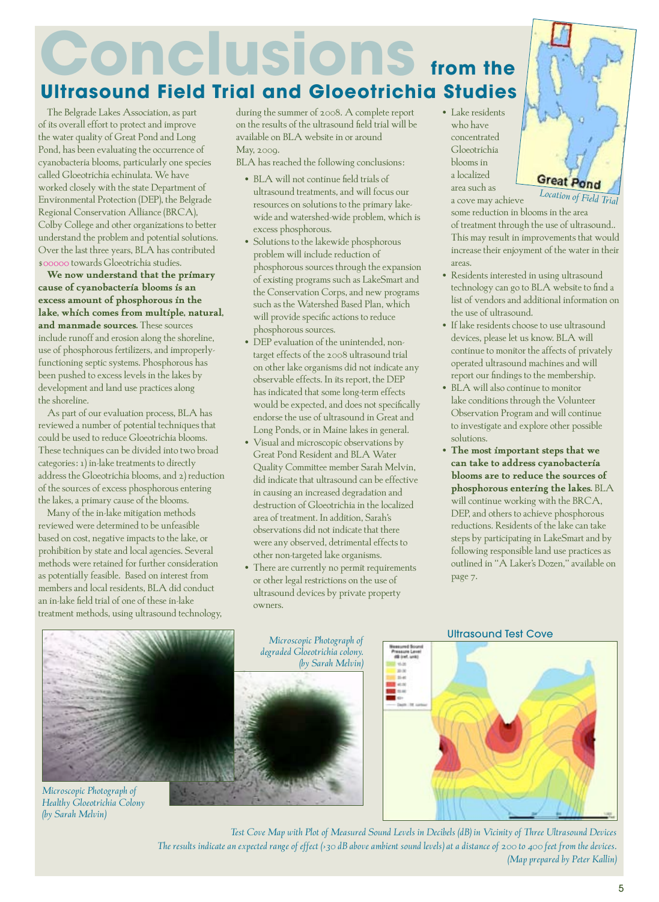# **Conclusions Ultrasound Field Trial and Gloeotrichia Studies from the**

The Belgrade Lakes Association, as part of its overall effort to protect and improve the water quality of Great Pond and Long Pond, has been evaluating the occurrence of cyanobacteria blooms, particularly one species called Gloeotrichia echinulata. We have worked closely with the state Department of Environmental Protection (DEP), the Belgrade Regional Conservation Alliance (BRCA), Colby College and other organizations to better understand the problem and potential solutions. Over the last three years, BLA has contributed \$00000 towards Gloeotrichia studies.

**We now understand that the primary cause of cyanobacteria blooms is an excess amount of phosphorous in the lake, which comes from multiple, natural, and manmade sources.** These sources include runoff and erosion along the shoreline, use of phosphorous fertilizers, and improperlyfunctioning septic systems. Phosphorous has been pushed to excess levels in the lakes by development and land use practices along the shoreline.

As part of our evaluation process, BLA has reviewed a number of potential techniques that could be used to reduce Gloeotrichia blooms. These techniques can be divided into two broad categories: 1) in-lake treatments to directly address the Gloeotrichia blooms, and 2) reduction of the sources of excess phosphorous entering the lakes, a primary cause of the blooms.

Many of the in-lake mitigation methods reviewed were determined to be unfeasible based on cost, negative impacts to the lake, or prohibition by state and local agencies. Several methods were retained for further consideration as potentially feasible. Based on interest from members and local residents, BLA did conduct an in-lake field trial of one of these in-lake treatment methods, using ultrasound technology, during the summer of 2008. A complete report on the results of the ultrasound field trial will be available on BLA website in or around May, 2009.

BLA has reached the following conclusions:

- BLA will not continue field trials of ultrasound treatments, and will focus our resources on solutions to the primary lakewide and watershed-wide problem, which is excess phosphorous.
- Solutions to the lakewide phosphorous problem will include reduction of phosphorous sources through the expansion of existing programs such as LakeSmart and the Conservation Corps, and new programs such as the Watershed Based Plan, which will provide specific actions to reduce phosphorous sources.
- DEP evaluation of the unintended, nontarget effects of the 2008 ultrasound trial on other lake organisms did not indicate any observable effects. In its report, the DEP has indicated that some long-term effects would be expected, and does not specifically endorse the use of ultrasound in Great and Long Ponds, or in Maine lakes in general.
- Visual and microscopic observations by Great Pond Resident and BLA Water Quality Committee member Sarah Melvin, did indicate that ultrasound can be effective in causing an increased degradation and destruction of Gloeotrichia in the localized area of treatment. In addition, Sarah's observations did not indicate that there were any observed, detrimental effects to other non-targeted lake organisms.
- There are currently no permit requirements or other legal restrictions on the use of ultrasound devices by private property owners.

• Lake residents who have concentrated Gloeotrichia blooms in a localized area such as a cove may achieve



some reduction in blooms in the area of treatment through the use of ultrasound.. This may result in improvements that would increase their enjoyment of the water in their areas.

- Residents interested in using ultrasound technology can go to BLA website to find a list of vendors and additional information on the use of ultrasound.
- If lake residents choose to use ultrasound devices, please let us know. BLA will continue to monitor the affects of privately operated ultrasound machines and will report our findings to the membership.
- BLA will also continue to monitor lake conditions through the Volunteer Observation Program and will continue to investigate and explore other possible solutions.
- **The most important steps that we can take to address cyanobacteria blooms are to reduce the sources of phosphorous entering the lakes.** BLA will continue working with the BRCA, DEP, and others to achieve phosphorous reductions. Residents of the lake can take steps by participating in LakeSmart and by following responsible land use practices as outlined in "A Laker's Dozen," available on page 7.



*Healthy Gloeotrichia Colony* 

*(by Sarah Melvin)*

**Microsoft Photograph of Health of Health Adegraded Gloeotrichia colony.** *Microscopic Photograph of (by Sarah Melvin)*



#### Ultrasound Test Cove



Test Cove Map with Plot of Measured Sound Levels in Decibels (dB) in Vicinity of Three Ultrasound Devices The results indicate an expected range of effect (>30 dB above ambient sound levels) at a distance of 200 to 400 feet from the devices. **The results indicate and the results indicate and the results indicate and** *Map prepared by Peter Kallin***)**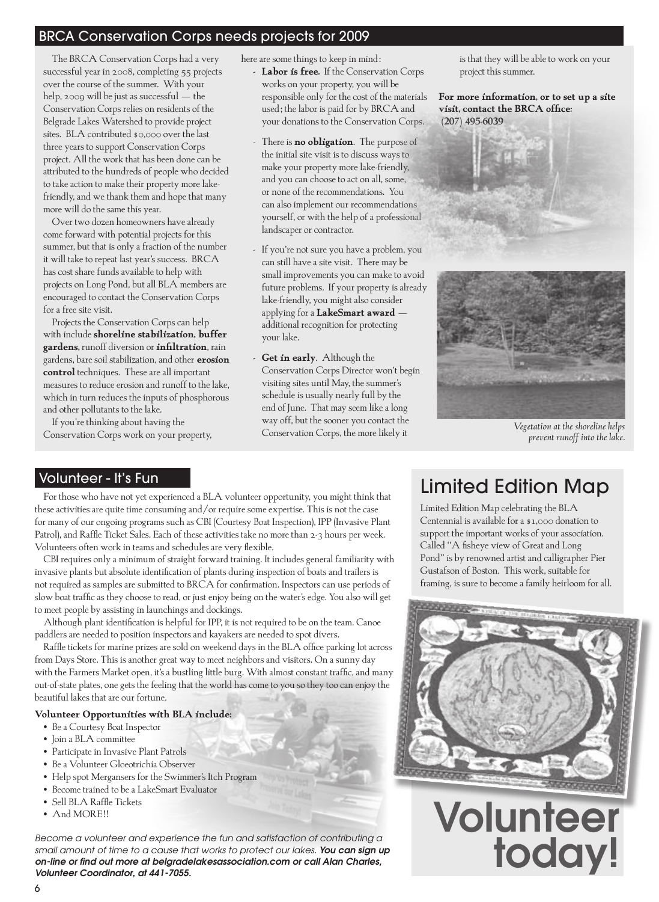# BRCA Conservation Corps needs projects for 2009

The BRCA Conservation Corps had a very successful year in 2008, completing 55 projects over the course of the summer. With your help, 2009 will be just as successful - the Conservation Corps relies on residents of the Belgrade Lakes Watershed to provide project sites. BLA contributed \$0,000 over the last three years to support Conservation Corps project. All the work that has been done can be attributed to the hundreds of people who decided to take action to make their property more lakefriendly, and we thank them and hope that many more will do the same this year.

Over two dozen homeowners have already come forward with potential projects for this summer, but that is only a fraction of the number it will take to repeat last year's success. BRCA has cost share funds available to help with projects on Long Pond, but all BLA members are encouraged to contact the Conservation Corps for a free site visit.

Projects the Conservation Corps can help with include **shoreline stabilization, buffer gardens,** runoff diversion or **infiltration**, rain gardens, bare soil stabilization, and other **erosion control** techniques. These are all important measures to reduce erosion and runoff to the lake, which in turn reduces the inputs of phosphorous and other pollutants to the lake.

If you're thinking about having the Conservation Corps work on your property, here are some things to keep in mind:

- **- Labor is free.** If the Conservation Corps works on your property, you will be responsible only for the cost of the materials used; the labor is paid for by BRCA and your donations to the Conservation Corps.
- There is **no obligation**. The purpose of the initial site visit is to discuss ways to make your property more lake-friendly, and you can choose to act on all, some, or none of the recommendations. You can also implement our recommendations yourself, or with the help of a professional landscaper or contractor.
- If you're not sure you have a problem, you can still have a site visit. There may be small improvements you can make to avoid future problems. If your property is already lake-friendly, you might also consider applying for a **LakeSmart award** – additional recognition for protecting your lake.
- **- Get in early**. Although the Conservation Corps Director won't begin visiting sites until May, the summer's schedule is usually nearly full by the end of June. That may seem like a long way off, but the sooner you contact the Conservation Corps, the more likely it

is that they will be able to work on your project this summer.

**For more information, or to set up a site visit, contact the BRCA office: (207) 495-6039**



*Vegetation at the shoreline helps prevent runoff into the lake.*

## Volunteer - It's Fun

For those who have not yet experienced a BLA volunteer opportunity, you might think that these activities are quite time consuming and/or require some expertise. This is not the case for many of our ongoing programs such as CBI (Courtesy Boat Inspection), IPP (Invasive Plant Patrol), and Raffle Ticket Sales. Each of these activities take no more than 2-3 hours per week. Volunteers often work in teams and schedules are very flexible.

CBI requires only a minimum of straight forward training. It includes general familiarity with invasive plants but absolute identification of plants during inspection of boats and trailers is not required as samples are submitted to BRCA for confirmation. Inspectors can use periods of slow boat traffic as they choose to read, or just enjoy being on the water's edge. You also will get to meet people by assisting in launchings and dockings.

Although plant identification is helpful for IPP, it is not required to be on the team. Canoe paddlers are needed to position inspectors and kayakers are needed to spot divers.

Raffle tickets for marine prizes are sold on weekend days in the BLA office parking lot across from Days Store. This is another great way to meet neighbors and visitors. On a sunny day with the Farmers Market open, it's a bustling little burg. With almost constant traffic, and many out-of-state plates, one gets the feeling that the world has come to you so they too can enjoy the beautiful lakes that are our fortune.

#### **Volunteer Opportunities with BLA include:**

- Be a Courtesy Boat Inspector
- Join a BLA committee
- Participate in Invasive Plant Patrols
- Be a Volunteer Gloeotrichia Observer
- Help spot Mergansers for the Swimmer's Itch Program
- Become trained to be a LakeSmart Evaluator
- Sell BLA Raffle Tickets
- And MORE!!

*Become a volunteer and experience the fun and satisfaction of contributing a small amount of time to a cause that works to protect our lakes. You can sign up on-line or find out more at belgradelakesassociation.com or call Alan Charles, Volunteer Coordinator, at 441-7055.*

# Limited Edition Map

Limited Edition Map celebrating the BLA Centennial is available for a \$1,000 donation to support the important works of your association. Called "A fisheye view of Great and Long Pond" is by renowned artist and calligrapher Pier Gustafson of Boston. This work, suitable for framing, is sure to become a family heirloom for all.



Volunteer today!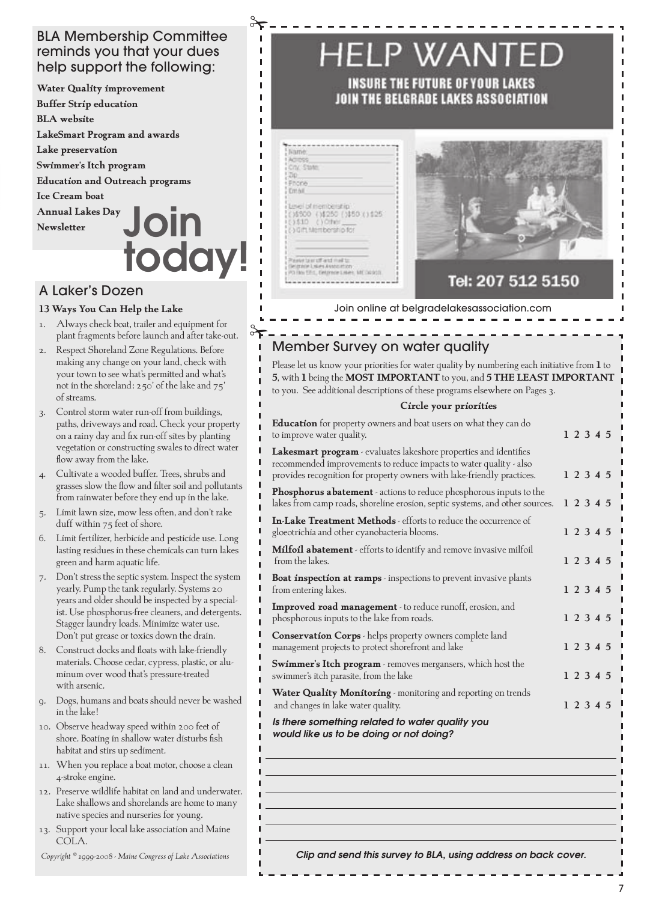## BLA Membership Committee reminds you that your dues help support the following:

**Water Quality improvement Buffer Strip education BLA website LakeSmart Program and awards Lake preservation Swimmer's Itch program Education and Outreach programs Ice Cream boat Annual Lakes Day Newsletter** Join today!

# A Laker's Dozen

#### **13 Ways You Can Help the Lake**

- 1. Always check boat, trailer and equipment for plant fragments before launch and after take-out.
- 2. Respect Shoreland Zone Regulations. Before making any change on your land, check with your town to see what's permitted and what's not in the shoreland: 250' of the lake and 75' of streams.
- 3. Control storm water run-off from buildings, paths, driveways and road. Check your property on a rainy day and fix run-off sites by planting vegetation or constructing swales to direct water flow away from the lake.
- 4. Cultivate a wooded buffer. Trees, shrubs and grasses slow the flow and filter soil and pollutants from rainwater before they end up in the lake.
- 5. Limit lawn size, mow less often, and don't rake duff within 75 feet of shore.
- 6. Limit fertilizer, herbicide and pesticide use. Long lasting residues in these chemicals can turn lakes green and harm aquatic life.
- 7. Don't stress the septic system. Inspect the system yearly. Pump the tank regularly. Systems 20 years and older should be inspected by a specialist. Use phosphorus-free cleaners, and detergents. Stagger laundry loads. Minimize water use. Don't put grease or toxics down the drain.
- 8. Construct docks and floats with lake-friendly materials. Choose cedar, cypress, plastic, or aluminum over wood that's pressure-treated with arsenic.
- 9. Dogs, humans and boats should never be washed in the lake!
- 10. Observe headway speed within 200 feet of shore. Boating in shallow water disturbs fish habitat and stirs up sediment.
- 11. When you replace a boat motor, choose a clean 4-stroke engine.
- 12. Preserve wildlife habitat on land and underwater. Lake shallows and shorelands are home to many native species and nurseries for young.
- 13. Support your local lake association and Maine COLA.

*Copyright © 1999-2008 - Maine Congress of Lake Associations*

# HELP WANTED

INSURE THE FUTURE OF YOUR LAKES JOIN THE BELGRADE LAKES ASSOCIATION

| <b>Jiame</b>                                                                                  |  |
|-----------------------------------------------------------------------------------------------|--|
| AC CSS<br>City, State                                                                         |  |
| 1200                                                                                          |  |
| <b>I Phone</b>                                                                                |  |
| $T = 4$                                                                                       |  |
| Lineil of membership<br>(16500 (14250 (1450 (1425)<br>(0\$10 ()Ofer<br>(3 Gift Membership for |  |
|                                                                                               |  |
| Prevente based med to                                                                         |  |
| Telephone Louises Associations                                                                |  |

 $\rightarrow$ 

 $\blacksquare$  $\blacksquare$  $\blacksquare$ 

п  $\blacksquare$ П

 $\infty$ 



# Tel: 207 512 5150

Join online at belgradelakesassociation.com

# Member Survey on water quality

Please let us know your priorities for water quality by numbering each initiative from **1** to **5**, with **1** being the **MOST IMPORTANT** to you, and **5 THE LEAST IMPORTANT** to you. See additional descriptions of these programs elsewhere on Pages 3.

#### **Circle your priorities**

| <b>Education</b> for property owners and boat users on what they can do<br>to improve water quality.                                                                                                              |  | 1 2 3 4 5 |  |
|-------------------------------------------------------------------------------------------------------------------------------------------------------------------------------------------------------------------|--|-----------|--|
| Lakesmart program - evaluates lakeshore properties and identifies<br>recommended improvements to reduce impacts to water quality - also<br>provides recognition for property owners with lake-friendly practices. |  | 1 2 3 4 5 |  |
| Phosphorus abatement - actions to reduce phosphorous inputs to the<br>lakes from camp roads, shoreline erosion, septic systems, and other sources.                                                                |  | 1 2 3 4 5 |  |
| <b>In-Lake Treatment Methods</b> - efforts to reduce the occurrence of<br>gloeotrichia and other cyanobacteria blooms.                                                                                            |  | 1 2 3 4 5 |  |
| Milfoil abatement - efforts to identify and remove invasive milfoil<br>from the lakes.                                                                                                                            |  | 1 2 3 4 5 |  |
| <b>Boat inspection at ramps</b> - inspections to prevent invasive plants<br>from entering lakes.                                                                                                                  |  | 1 2 3 4 5 |  |
| Improved road management - to reduce runoff, erosion, and<br>phosphorous inputs to the lake from roads.                                                                                                           |  | 1 2 3 4 5 |  |
| <b>Conservation Corps</b> - helps property owners complete land<br>management projects to protect shorefront and lake                                                                                             |  | 1 2 3 4 5 |  |
| Swimmer's Itch program - removes mergansers, which host the<br>swimmer's itch parasite, from the lake                                                                                                             |  | 1 2 3 4 5 |  |
| <b>Water Quality Monitoring</b> monitoring and reporting on trends<br>and changes in lake water quality.                                                                                                          |  | 1 2 3 4 5 |  |
| Is there something related to water quality you<br>would like us to be doing or not doing?                                                                                                                        |  |           |  |
|                                                                                                                                                                                                                   |  |           |  |
|                                                                                                                                                                                                                   |  |           |  |
|                                                                                                                                                                                                                   |  |           |  |

*Clip and send this survey to BLA, using address on back cover.*